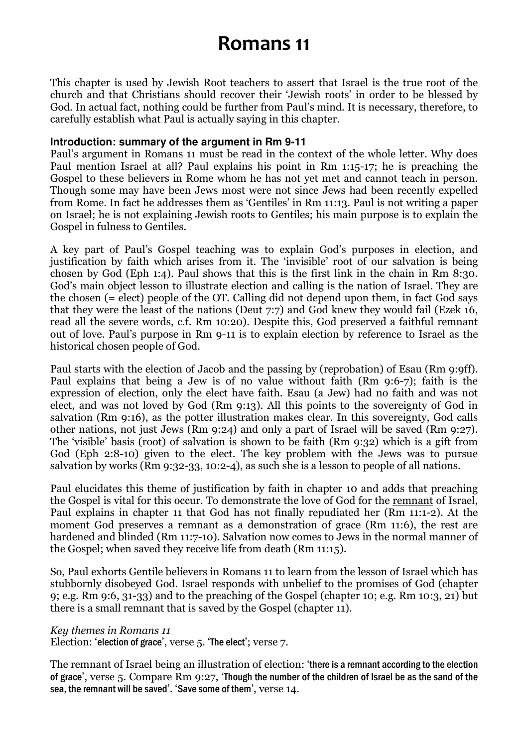# Romans 11

This chapter is used by Jewish Root teachers to assert that Israel is the true root of the church and that Christians should recover their 'Jewish roots' in order to be blessed by God. In actual fact, nothing could be further from Paul's mind. It is necessary, therefore, to carefully establish what Paul is actually saying in this chapter.

#### **Introduction: summary of the argument in Rm 9-11**

Paul's argument in Romans 11 must be read in the context of the whole letter. Why does Paul mention Israel at all? Paul explains his point in Rm 1:15-17; he is preaching the Gospel to these believers in Rome whom he has not yet met and cannot teach in person. Though some may have been Jews most were not since Jews had been recently expelled from Rome. In fact he addresses them as 'Gentiles' in Rm 11:13. Paul is not writing a paper on Israel; he is not explaining Jewish roots to Gentiles; his main purpose is to explain the Gospel in fulness to Gentiles.

A key part of Paul's Gospel teaching was to explain God's purposes in election, and justification by faith which arises from it. The 'invisible' root of our salvation is being chosen by God (Eph 1:4). Paul shows that this is the first link in the chain in Rm 8:30. God's main object lesson to illustrate election and calling is the nation of Israel. They are the chosen (= elect) people of the OT. Calling did not depend upon them, in fact God says that they were the least of the nations (Deut 7:7) and God knew they would fail (Ezek 16, read all the severe words, c.f. Rm 10:20). Despite this, God preserved a faithful remnant out of love. Paul's purpose in Rm 9-11 is to explain election by reference to Israel as the historical chosen people of God.

Paul starts with the election of Jacob and the passing by (reprobation) of Esau (Rm 9:9ff). Paul explains that being a Jew is of no value without faith (Rm 9:6-7); faith is the expression of election, only the elect have faith. Esau (a Jew) had no faith and was not elect, and was not loved by God (Rm 9:13). All this points to the sovereignty of God in salvation (Rm 9:16), as the potter illustration makes clear. In this sovereignty, God calls other nations, not just Jews (Rm 9:24) and only a part of Israel will be saved (Rm 9:27). The 'visible' basis (root) of salvation is shown to be faith (Rm 9:32) which is a gift from God (Eph 2:8-10) given to the elect. The key problem with the Jews was to pursue salvation by works (Rm 9:32-33, 10:2-4), as such she is a lesson to people of all nations.

Paul elucidates this theme of justification by faith in chapter 10 and adds that preaching the Gospel is vital for this occur. To demonstrate the love of God for the remnant of Israel, Paul explains in chapter 11 that God has not finally repudiated her (Rm 11:1-2). At the moment God preserves a remnant as a demonstration of grace (Rm 11:6), the rest are hardened and blinded (Rm 11:7-10). Salvation now comes to Jews in the normal manner of the Gospel; when saved they receive life from death (Rm 11:15).

So, Paul exhorts Gentile believers in Romans 11 to learn from the lesson of Israel which has stubbornly disobeyed God. Israel responds with unbelief to the promises of God (chapter 9; e.g. Rm 9:6, 31-33) and to the preaching of the Gospel (chapter 10; e.g. Rm 10:3, 21) but there is a small remnant that is saved by the Gospel (chapter 11).

#### Key themes in Romans 11

Election: 'election of grace', verse 5. 'The elect'; verse 7.

The remnant of Israel being an illustration of election: 'there is a remnant according to the election of grace', verse 5. Compare Rm 9:27, 'Though the number of the children of Israel be as the sand of the sea, the remnant will be saved'. 'Save some of them', verse 14.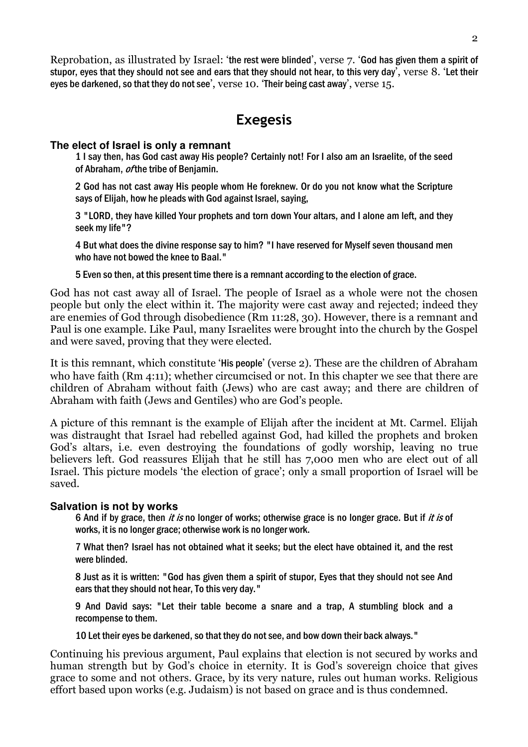Reprobation, as illustrated by Israel: 'the rest were blinded', verse 7. 'God has given them a spirit of stupor, eyes that they should not see and ears that they should not hear, to this very day', verse 8. 'Let their eyes be darkened, so that they do not see', verse 10. 'Their being cast away', verse 15.

# Exegesis

#### **The elect of Israel is only a remnant**

1 I say then, has God cast away His people? Certainly not! For I also am an Israelite, of the seed of Abraham, *of* the tribe of Benjamin.

2 God has not cast away His people whom He foreknew. Or do you not know what the Scripture says of Elijah, how he pleads with God against Israel, saying,

3 "LORD, they have killed Your prophets and torn down Your altars, and I alone am left, and they seek my life"?

4 But what does the divine response say to him? "I have reserved for Myself seven thousand men who have not bowed the knee to Baal."

5 Even so then, at this present time there is a remnant according to the election of grace.

God has not cast away all of Israel. The people of Israel as a whole were not the chosen people but only the elect within it. The majority were cast away and rejected; indeed they are enemies of God through disobedience (Rm 11:28, 30). However, there is a remnant and Paul is one example. Like Paul, many Israelites were brought into the church by the Gospel and were saved, proving that they were elected.

It is this remnant, which constitute 'His people' (verse 2). These are the children of Abraham who have faith (Rm 4:11); whether circumcised or not. In this chapter we see that there are children of Abraham without faith (Jews) who are cast away; and there are children of Abraham with faith (Jews and Gentiles) who are God's people.

A picture of this remnant is the example of Elijah after the incident at Mt. Carmel. Elijah was distraught that Israel had rebelled against God, had killed the prophets and broken God's altars, i.e. even destroying the foundations of godly worship, leaving no true believers left. God reassures Elijah that he still has 7,000 men who are elect out of all Israel. This picture models 'the election of grace'; only a small proportion of Israel will be saved.

# **Salvation is not by works**

6 And if by grace, then it is no longer of works; otherwise grace is no longer grace. But if it is of works, it is no longer grace; otherwise work is no longer work.

7 What then? Israel has not obtained what it seeks; but the elect have obtained it, and the rest were blinded.

8 Just as it is written: "God has given them a spirit of stupor, Eyes that they should not see And ears that they should not hear, To this very day."

9 And David says: "Let their table become a snare and a trap, A stumbling block and a recompense to them.

10 Let their eyes be darkened, so that they do not see, and bow down their back always."

Continuing his previous argument, Paul explains that election is not secured by works and human strength but by God's choice in eternity. It is God's sovereign choice that gives grace to some and not others. Grace, by its very nature, rules out human works. Religious effort based upon works (e.g. Judaism) is not based on grace and is thus condemned.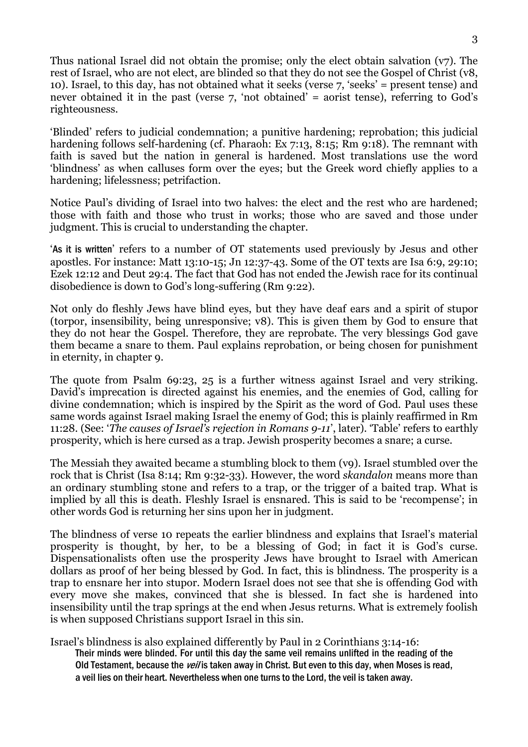Thus national Israel did not obtain the promise; only the elect obtain salvation (v7). The rest of Israel, who are not elect, are blinded so that they do not see the Gospel of Christ (v8, 10). Israel, to this day, has not obtained what it seeks (verse 7, 'seeks' = present tense) and never obtained it in the past (verse 7, 'not obtained' = aorist tense), referring to God's righteousness.

'Blinded' refers to judicial condemnation; a punitive hardening; reprobation; this judicial hardening follows self-hardening (cf. Pharaoh: Ex 7:13, 8:15; Rm 9:18). The remnant with faith is saved but the nation in general is hardened. Most translations use the word 'blindness' as when calluses form over the eyes; but the Greek word chiefly applies to a hardening; lifelessness; petrifaction.

Notice Paul's dividing of Israel into two halves: the elect and the rest who are hardened; those with faith and those who trust in works; those who are saved and those under judgment. This is crucial to understanding the chapter.

'As it is written' refers to a number of OT statements used previously by Jesus and other apostles. For instance: Matt 13:10-15; Jn 12:37-43. Some of the OT texts are Isa 6:9, 29:10; Ezek 12:12 and Deut 29:4. The fact that God has not ended the Jewish race for its continual disobedience is down to God's long-suffering (Rm 9:22).

Not only do fleshly Jews have blind eyes, but they have deaf ears and a spirit of stupor (torpor, insensibility, being unresponsive; v8). This is given them by God to ensure that they do not hear the Gospel. Therefore, they are reprobate. The very blessings God gave them became a snare to them. Paul explains reprobation, or being chosen for punishment in eternity, in chapter 9.

The quote from Psalm 69:23, 25 is a further witness against Israel and very striking. David's imprecation is directed against his enemies, and the enemies of God, calling for divine condemnation; which is inspired by the Spirit as the word of God. Paul uses these same words against Israel making Israel the enemy of God; this is plainly reaffirmed in Rm 11:28. (See: 'The causes of Israel's rejection in Romans 9-11', later). 'Table' refers to earthly prosperity, which is here cursed as a trap. Jewish prosperity becomes a snare; a curse.

The Messiah they awaited became a stumbling block to them (v9). Israel stumbled over the rock that is Christ (Isa 8:14; Rm 9:32-33). However, the word *skandalon* means more than an ordinary stumbling stone and refers to a trap, or the trigger of a baited trap. What is implied by all this is death. Fleshly Israel is ensnared. This is said to be 'recompense'; in other words God is returning her sins upon her in judgment.

The blindness of verse 10 repeats the earlier blindness and explains that Israel's material prosperity is thought, by her, to be a blessing of God; in fact it is God's curse. Dispensationalists often use the prosperity Jews have brought to Israel with American dollars as proof of her being blessed by God. In fact, this is blindness. The prosperity is a trap to ensnare her into stupor. Modern Israel does not see that she is offending God with every move she makes, convinced that she is blessed. In fact she is hardened into insensibility until the trap springs at the end when Jesus returns. What is extremely foolish is when supposed Christians support Israel in this sin.

Israel's blindness is also explained differently by Paul in 2 Corinthians 3:14-16:

Their minds were blinded. For until this day the same veil remains unlifted in the reading of the Old Testament, because the *veil* is taken away in Christ. But even to this day, when Moses is read, a veil lies on their heart. Nevertheless when one turns to the Lord, the veil is taken away.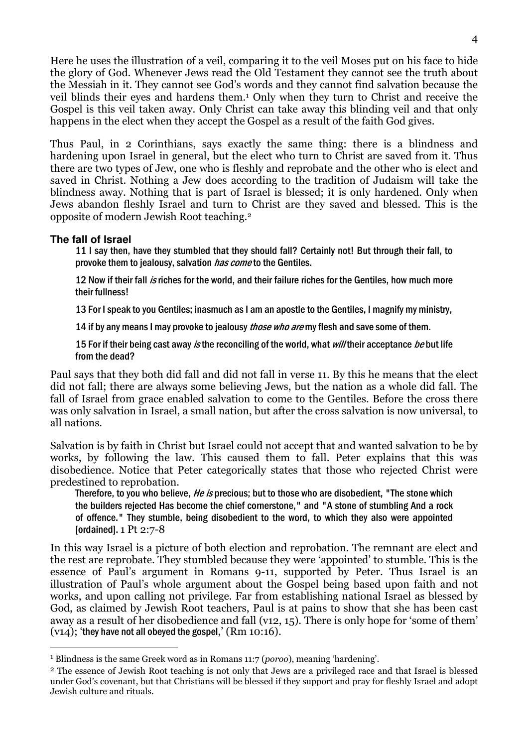Here he uses the illustration of a veil, comparing it to the veil Moses put on his face to hide the glory of God. Whenever Jews read the Old Testament they cannot see the truth about the Messiah in it. They cannot see God's words and they cannot find salvation because the veil blinds their eyes and hardens them.<sup>1</sup> Only when they turn to Christ and receive the Gospel is this veil taken away. Only Christ can take away this blinding veil and that only happens in the elect when they accept the Gospel as a result of the faith God gives.

Thus Paul, in 2 Corinthians, says exactly the same thing: there is a blindness and hardening upon Israel in general, but the elect who turn to Christ are saved from it. Thus there are two types of Jew, one who is fleshly and reprobate and the other who is elect and saved in Christ. Nothing a Jew does according to the tradition of Judaism will take the blindness away. Nothing that is part of Israel is blessed; it is only hardened. Only when Jews abandon fleshly Israel and turn to Christ are they saved and blessed. This is the opposite of modern Jewish Root teaching.<sup>2</sup>

#### **The fall of Israel**

 $\overline{a}$ 

11 I say then, have they stumbled that they should fall? Certainly not! But through their fall, to provoke them to jealousy, salvation *has come* to the Gentiles.

12 Now if their fall is riches for the world, and their failure riches for the Gentiles, how much more their fullness!

13 For I speak to you Gentiles; inasmuch as I am an apostle to the Gentiles, I magnify my ministry,

14 if by any means I may provoke to jealousy *those who are* my flesh and save some of them.

15 For if their being cast away is the reconciling of the world, what will their acceptance be but life from the dead?

Paul says that they both did fall and did not fall in verse 11. By this he means that the elect did not fall; there are always some believing Jews, but the nation as a whole did fall. The fall of Israel from grace enabled salvation to come to the Gentiles. Before the cross there was only salvation in Israel, a small nation, but after the cross salvation is now universal, to all nations.

Salvation is by faith in Christ but Israel could not accept that and wanted salvation to be by works, by following the law. This caused them to fall. Peter explains that this was disobedience. Notice that Peter categorically states that those who rejected Christ were predestined to reprobation.

Therefore, to you who believe, *He is* precious; but to those who are disobedient, "The stone which the builders rejected Has become the chief cornerstone," and "A stone of stumbling And a rock of offence." They stumble, being disobedient to the word, to which they also were appointed [ordained].  $1$  Pt  $2:7-8$ 

In this way Israel is a picture of both election and reprobation. The remnant are elect and the rest are reprobate. They stumbled because they were 'appointed' to stumble. This is the essence of Paul's argument in Romans 9-11, supported by Peter. Thus Israel is an illustration of Paul's whole argument about the Gospel being based upon faith and not works, and upon calling not privilege. Far from establishing national Israel as blessed by God, as claimed by Jewish Root teachers, Paul is at pains to show that she has been cast away as a result of her disobedience and fall (v12, 15). There is only hope for 'some of them'  $(v14)$ ; 'they have not all obeyed the gospel,'  $(Rm 10:16)$ .

<sup>&</sup>lt;sup>1</sup> Blindness is the same Greek word as in Romans 11:7 (poroo), meaning 'hardening'.

<sup>2</sup> The essence of Jewish Root teaching is not only that Jews are a privileged race and that Israel is blessed under God's covenant, but that Christians will be blessed if they support and pray for fleshly Israel and adopt Jewish culture and rituals.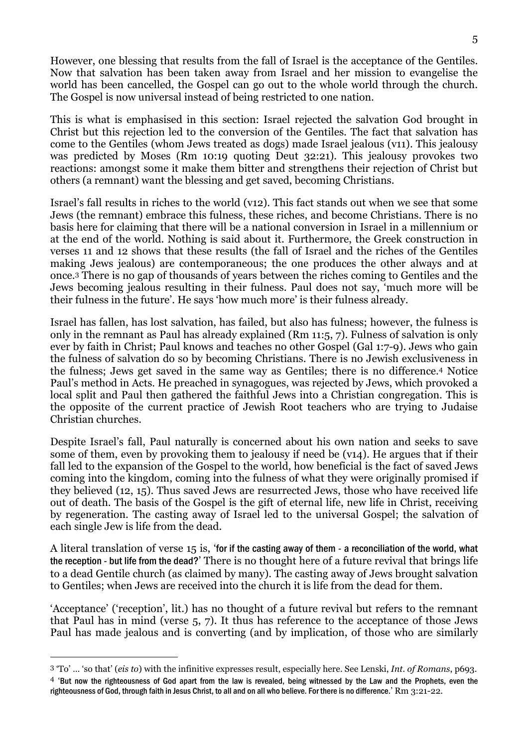However, one blessing that results from the fall of Israel is the acceptance of the Gentiles. Now that salvation has been taken away from Israel and her mission to evangelise the world has been cancelled, the Gospel can go out to the whole world through the church. The Gospel is now universal instead of being restricted to one nation.

This is what is emphasised in this section: Israel rejected the salvation God brought in Christ but this rejection led to the conversion of the Gentiles. The fact that salvation has come to the Gentiles (whom Jews treated as dogs) made Israel jealous (v11). This jealousy was predicted by Moses (Rm 10:19 quoting Deut 32:21). This jealousy provokes two reactions: amongst some it make them bitter and strengthens their rejection of Christ but others (a remnant) want the blessing and get saved, becoming Christians.

Israel's fall results in riches to the world (v12). This fact stands out when we see that some Jews (the remnant) embrace this fulness, these riches, and become Christians. There is no basis here for claiming that there will be a national conversion in Israel in a millennium or at the end of the world. Nothing is said about it. Furthermore, the Greek construction in verses 11 and 12 shows that these results (the fall of Israel and the riches of the Gentiles making Jews jealous) are contemporaneous; the one produces the other always and at once.3 There is no gap of thousands of years between the riches coming to Gentiles and the Jews becoming jealous resulting in their fulness. Paul does not say, 'much more will be their fulness in the future'. He says 'how much more' is their fulness already.

Israel has fallen, has lost salvation, has failed, but also has fulness; however, the fulness is only in the remnant as Paul has already explained (Rm 11:5, 7). Fulness of salvation is only ever by faith in Christ; Paul knows and teaches no other Gospel (Gal 1:7-9). Jews who gain the fulness of salvation do so by becoming Christians. There is no Jewish exclusiveness in the fulness; Jews get saved in the same way as Gentiles; there is no difference.4 Notice Paul's method in Acts. He preached in synagogues, was rejected by Jews, which provoked a local split and Paul then gathered the faithful Jews into a Christian congregation. This is the opposite of the current practice of Jewish Root teachers who are trying to Judaise Christian churches.

Despite Israel's fall, Paul naturally is concerned about his own nation and seeks to save some of them, even by provoking them to jealousy if need be (v14). He argues that if their fall led to the expansion of the Gospel to the world, how beneficial is the fact of saved Jews coming into the kingdom, coming into the fulness of what they were originally promised if they believed (12, 15). Thus saved Jews are resurrected Jews, those who have received life out of death. The basis of the Gospel is the gift of eternal life, new life in Christ, receiving by regeneration. The casting away of Israel led to the universal Gospel; the salvation of each single Jew is life from the dead.

A literal translation of verse 15 is, 'for if the casting away of them - a reconciliation of the world, what the reception - but life from the dead?' There is no thought here of a future revival that brings life to a dead Gentile church (as claimed by many). The casting away of Jews brought salvation to Gentiles; when Jews are received into the church it is life from the dead for them.

'Acceptance' ('reception', lit.) has no thought of a future revival but refers to the remnant that Paul has in mind (verse 5, 7). It thus has reference to the acceptance of those Jews Paul has made jealous and is converting (and by implication, of those who are similarly

 $\overline{a}$ 

<sup>3</sup> 'To' … 'so that' (eis to) with the infinitive expresses result, especially here. See Lenski, Int. of Romans, p693. 4 'But now the righteousness of God apart from the law is revealed, being witnessed by the Law and the Prophets, even the righteousness of God, through faith in Jesus Christ, to all and on all who believe. For there is no difference.' Rm 3:21-22.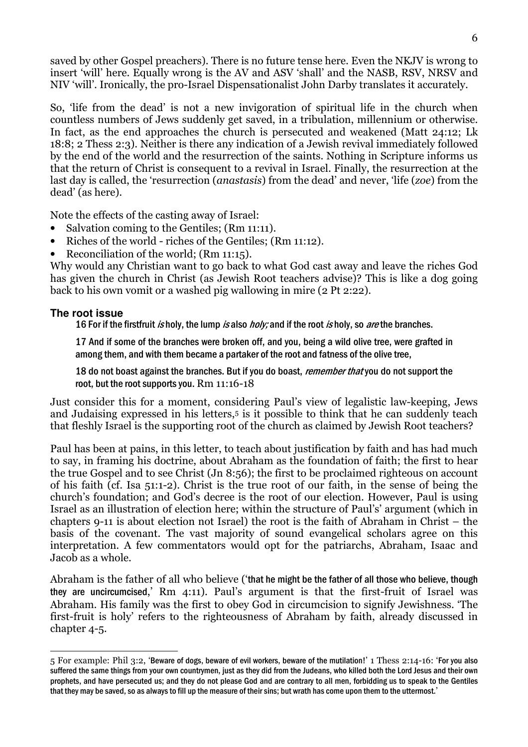saved by other Gospel preachers). There is no future tense here. Even the NKJV is wrong to insert 'will' here. Equally wrong is the AV and ASV 'shall' and the NASB, RSV, NRSV and NIV 'will'. Ironically, the pro-Israel Dispensationalist John Darby translates it accurately.

So, 'life from the dead' is not a new invigoration of spiritual life in the church when countless numbers of Jews suddenly get saved, in a tribulation, millennium or otherwise. In fact, as the end approaches the church is persecuted and weakened (Matt 24:12; Lk 18:8; 2 Thess 2:3). Neither is there any indication of a Jewish revival immediately followed by the end of the world and the resurrection of the saints. Nothing in Scripture informs us that the return of Christ is consequent to a revival in Israel. Finally, the resurrection at the last day is called, the 'resurrection (anastasis) from the dead' and never, 'life (zoe) from the dead' (as here).

Note the effects of the casting away of Israel:

- Salvation coming to the Gentiles; (Rm 11:11).
- Riches of the world riches of the Gentiles; (Rm 11:12).
- Reconciliation of the world; (Rm 11:15).

Why would any Christian want to go back to what God cast away and leave the riches God has given the church in Christ (as Jewish Root teachers advise)? This is like a dog going back to his own vomit or a washed pig wallowing in mire (2 Pt 2:22).

# **The root issue**

16 For if the firstfruit is holy, the lump is also holy; and if the root is holy, so are the branches.

17 And if some of the branches were broken off, and you, being a wild olive tree, were grafted in among them, and with them became a partaker of the root and fatness of the olive tree,

18 do not boast against the branches. But if you do boast, *remember that* you do not support the root, but the root supports you. Rm 11:16-18

Just consider this for a moment, considering Paul's view of legalistic law-keeping, Jews and Judaising expressed in his letters,<sup>5</sup> is it possible to think that he can suddenly teach that fleshly Israel is the supporting root of the church as claimed by Jewish Root teachers?

Paul has been at pains, in this letter, to teach about justification by faith and has had much to say, in framing his doctrine, about Abraham as the foundation of faith; the first to hear the true Gospel and to see Christ (Jn 8:56); the first to be proclaimed righteous on account of his faith (cf. Isa 51:1-2). Christ is the true root of our faith, in the sense of being the church's foundation; and God's decree is the root of our election. However, Paul is using Israel as an illustration of election here; within the structure of Paul's' argument (which in chapters 9-11 is about election not Israel) the root is the faith of Abraham in Christ – the basis of the covenant. The vast majority of sound evangelical scholars agree on this interpretation. A few commentators would opt for the patriarchs, Abraham, Isaac and Jacob as a whole.

Abraham is the father of all who believe ('that he might be the father of all those who believe, though they are uncircumcised,' Rm 4:11). Paul's argument is that the first-fruit of Israel was Abraham. His family was the first to obey God in circumcision to signify Jewishness. 'The first-fruit is holy' refers to the righteousness of Abraham by faith, already discussed in chapter 4-5.

 $\overline{a}$ 5 For example: Phil 3:2, 'Beware of dogs, beware of evil workers, beware of the mutilation!' 1 Thess 2:14-16: 'For you also suffered the same things from your own countrymen, just as they did from the Judeans, who killed both the Lord Jesus and their own prophets, and have persecuted us; and they do not please God and are contrary to all men, forbidding us to speak to the Gentiles that they may be saved, so as always to fill up the measure of their sins; but wrath has come upon them to the uttermost.'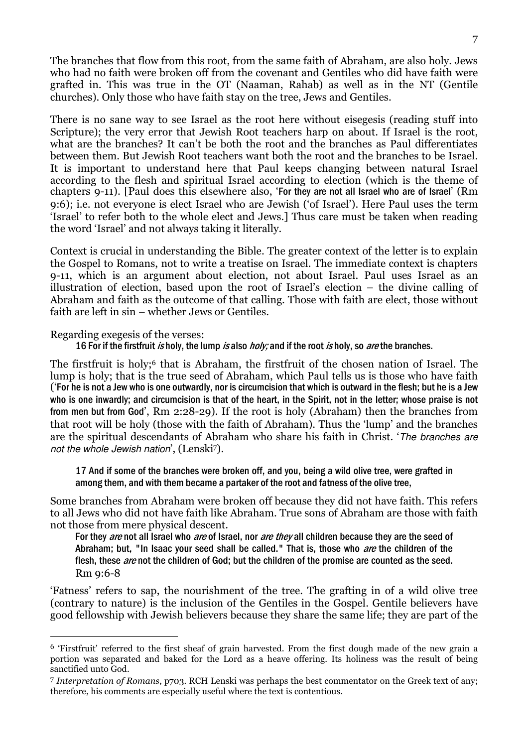The branches that flow from this root, from the same faith of Abraham, are also holy. Jews who had no faith were broken off from the covenant and Gentiles who did have faith were grafted in. This was true in the OT (Naaman, Rahab) as well as in the NT (Gentile churches). Only those who have faith stay on the tree, Jews and Gentiles.

There is no sane way to see Israel as the root here without eisegesis (reading stuff into Scripture); the very error that Jewish Root teachers harp on about. If Israel is the root, what are the branches? It can't be both the root and the branches as Paul differentiates between them. But Jewish Root teachers want both the root and the branches to be Israel. It is important to understand here that Paul keeps changing between natural Israel according to the flesh and spiritual Israel according to election (which is the theme of chapters 9-11). [Paul does this elsewhere also, 'For they are not all Israel who are of Israel' (Rm 9:6); i.e. not everyone is elect Israel who are Jewish ('of Israel'). Here Paul uses the term 'Israel' to refer both to the whole elect and Jews.] Thus care must be taken when reading the word 'Israel' and not always taking it literally.

Context is crucial in understanding the Bible. The greater context of the letter is to explain the Gospel to Romans, not to write a treatise on Israel. The immediate context is chapters 9-11, which is an argument about election, not about Israel. Paul uses Israel as an illustration of election, based upon the root of Israel's election – the divine calling of Abraham and faith as the outcome of that calling. Those with faith are elect, those without faith are left in sin – whether Jews or Gentiles.

Regarding exegesis of the verses:

 $\overline{a}$ 

16 For if the firstfruit is holy, the lump is also *holy;* and if the root is holy, so *are* the branches.

The first fruit is holy;<sup>6</sup> that is Abraham, the first fruit of the chosen nation of Israel. The lump is holy; that is the true seed of Abraham, which Paul tells us is those who have faith ('For he is not a Jew who is one outwardly, nor is circumcision that which is outward in the flesh; but he is a Jew who is one inwardly; and circumcision is that of the heart, in the Spirit, not in the letter; whose praise is not from men but from God', Rm 2:28-29). If the root is holy (Abraham) then the branches from that root will be holy (those with the faith of Abraham). Thus the 'lump' and the branches are the spiritual descendants of Abraham who share his faith in Christ. 'The branches are not the whole Jewish nation', (Lenski7).

17 And if some of the branches were broken off, and you, being a wild olive tree, were grafted in among them, and with them became a partaker of the root and fatness of the olive tree,

Some branches from Abraham were broken off because they did not have faith. This refers to all Jews who did not have faith like Abraham. True sons of Abraham are those with faith not those from mere physical descent.

For they are not all Israel who are of Israel, nor are they all children because they are the seed of Abraham; but, "In Isaac your seed shall be called." That is, those who *are* the children of the flesh, these *are* not the children of God; but the children of the promise are counted as the seed. Rm 9:6-8

'Fatness' refers to sap, the nourishment of the tree. The grafting in of a wild olive tree (contrary to nature) is the inclusion of the Gentiles in the Gospel. Gentile believers have good fellowship with Jewish believers because they share the same life; they are part of the

<sup>6</sup> 'Firstfruit' referred to the first sheaf of grain harvested. From the first dough made of the new grain a portion was separated and baked for the Lord as a heave offering. Its holiness was the result of being sanctified unto God.

<sup>7</sup> Interpretation of Romans, p703. RCH Lenski was perhaps the best commentator on the Greek text of any; therefore, his comments are especially useful where the text is contentious.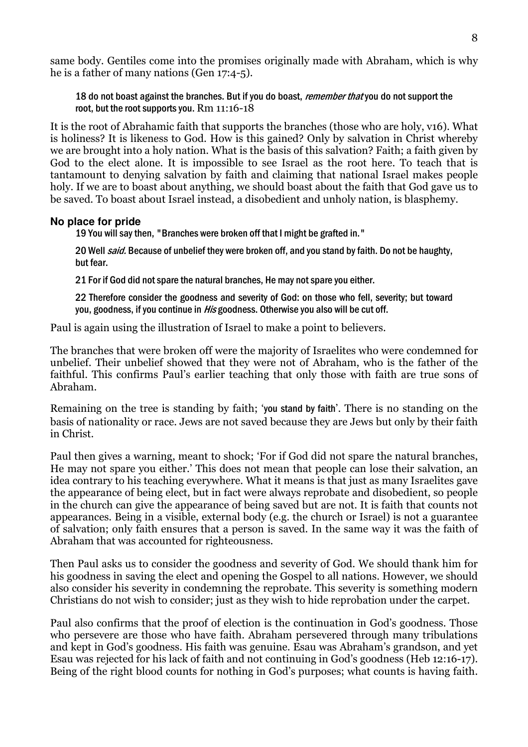same body. Gentiles come into the promises originally made with Abraham, which is why he is a father of many nations (Gen 17:4-5).

18 do not boast against the branches. But if you do boast, *remember that* you do not support the root, but the root supports you. Rm 11:16-18

It is the root of Abrahamic faith that supports the branches (those who are holy, v16). What is holiness? It is likeness to God. How is this gained? Only by salvation in Christ whereby we are brought into a holy nation. What is the basis of this salvation? Faith; a faith given by God to the elect alone. It is impossible to see Israel as the root here. To teach that is tantamount to denying salvation by faith and claiming that national Israel makes people holy. If we are to boast about anything, we should boast about the faith that God gave us to be saved. To boast about Israel instead, a disobedient and unholy nation, is blasphemy.

#### **No place for pride**

19 You will say then, "Branches were broken off that I might be grafted in."

20 Well *said*. Because of unbelief they were broken off, and you stand by faith. Do not be haughty, but fear.

21 For if God did not spare the natural branches, He may not spare you either.

22 Therefore consider the goodness and severity of God: on those who fell, severity; but toward you, goodness, if you continue in *His* goodness. Otherwise you also will be cut off.

Paul is again using the illustration of Israel to make a point to believers.

The branches that were broken off were the majority of Israelites who were condemned for unbelief. Their unbelief showed that they were not of Abraham, who is the father of the faithful. This confirms Paul's earlier teaching that only those with faith are true sons of Abraham.

Remaining on the tree is standing by faith; 'you stand by faith'. There is no standing on the basis of nationality or race. Jews are not saved because they are Jews but only by their faith in Christ.

Paul then gives a warning, meant to shock; 'For if God did not spare the natural branches, He may not spare you either.' This does not mean that people can lose their salvation, an idea contrary to his teaching everywhere. What it means is that just as many Israelites gave the appearance of being elect, but in fact were always reprobate and disobedient, so people in the church can give the appearance of being saved but are not. It is faith that counts not appearances. Being in a visible, external body (e.g. the church or Israel) is not a guarantee of salvation; only faith ensures that a person is saved. In the same way it was the faith of Abraham that was accounted for righteousness.

Then Paul asks us to consider the goodness and severity of God. We should thank him for his goodness in saving the elect and opening the Gospel to all nations. However, we should also consider his severity in condemning the reprobate. This severity is something modern Christians do not wish to consider; just as they wish to hide reprobation under the carpet.

Paul also confirms that the proof of election is the continuation in God's goodness. Those who persevere are those who have faith. Abraham persevered through many tribulations and kept in God's goodness. His faith was genuine. Esau was Abraham's grandson, and yet Esau was rejected for his lack of faith and not continuing in God's goodness (Heb 12:16-17). Being of the right blood counts for nothing in God's purposes; what counts is having faith.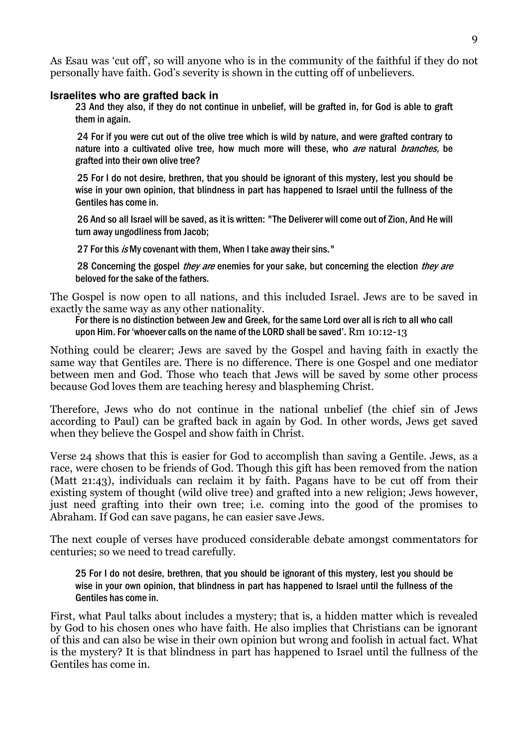As Esau was 'cut off', so will anyone who is in the community of the faithful if they do not personally have faith. God's severity is shown in the cutting off of unbelievers.

#### **Israelites who are grafted back in**

23 And they also, if they do not continue in unbelief, will be grafted in, for God is able to graft them in again.

 24 For if you were cut out of the olive tree which is wild by nature, and were grafted contrary to nature into a cultivated olive tree, how much more will these, who *are* natural *branches*, be grafted into their own olive tree?

 25 For I do not desire, brethren, that you should be ignorant of this mystery, lest you should be wise in your own opinion, that blindness in part has happened to Israel until the fullness of the Gentiles has come in.

 26 And so all Israel will be saved, as it is written: "The Deliverer will come out of Zion, And He will turn away ungodliness from Jacob;

27 For this is My covenant with them, When I take away their sins."

28 Concerning the gospel they are enemies for your sake, but concerning the election they are beloved for the sake of the fathers.

The Gospel is now open to all nations, and this included Israel. Jews are to be saved in exactly the same way as any other nationality.

For there is no distinction between Jew and Greek, for the same Lord over all is rich to all who call upon Him. For 'whoever calls on the name of the LORD shall be saved'. Rm 10:12-13

Nothing could be clearer; Jews are saved by the Gospel and having faith in exactly the same way that Gentiles are. There is no difference. There is one Gospel and one mediator between men and God. Those who teach that Jews will be saved by some other process because God loves them are teaching heresy and blaspheming Christ.

Therefore, Jews who do not continue in the national unbelief (the chief sin of Jews according to Paul) can be grafted back in again by God. In other words, Jews get saved when they believe the Gospel and show faith in Christ.

Verse 24 shows that this is easier for God to accomplish than saving a Gentile. Jews, as a race, were chosen to be friends of God. Though this gift has been removed from the nation (Matt 21:43), individuals can reclaim it by faith. Pagans have to be cut off from their existing system of thought (wild olive tree) and grafted into a new religion; Jews however, just need grafting into their own tree; i.e. coming into the good of the promises to Abraham. If God can save pagans, he can easier save Jews.

The next couple of verses have produced considerable debate amongst commentators for centuries; so we need to tread carefully.

25 For I do not desire, brethren, that you should be ignorant of this mystery, lest you should be wise in your own opinion, that blindness in part has happened to Israel until the fullness of the Gentiles has come in.

First, what Paul talks about includes a mystery; that is, a hidden matter which is revealed by God to his chosen ones who have faith. He also implies that Christians can be ignorant of this and can also be wise in their own opinion but wrong and foolish in actual fact. What is the mystery? It is that blindness in part has happened to Israel until the fullness of the Gentiles has come in.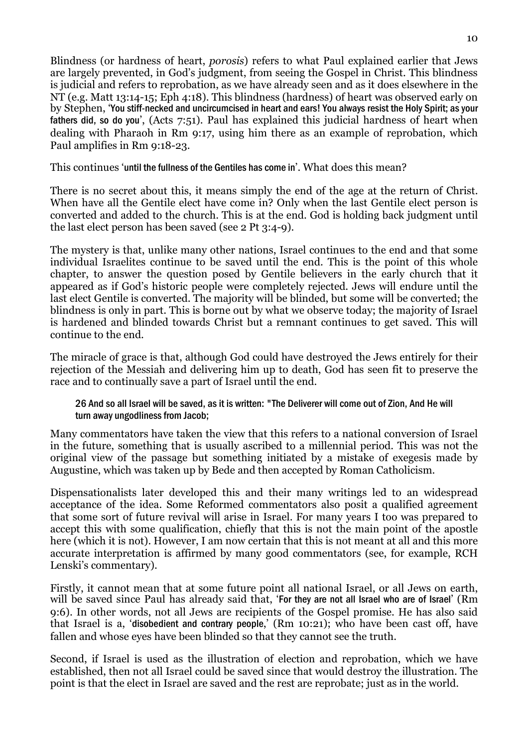Blindness (or hardness of heart, porosis) refers to what Paul explained earlier that Jews are largely prevented, in God's judgment, from seeing the Gospel in Christ. This blindness is judicial and refers to reprobation, as we have already seen and as it does elsewhere in the NT (e.g. Matt 13:14-15; Eph 4:18). This blindness (hardness) of heart was observed early on by Stephen, 'You stiff-necked and uncircumcised in heart and ears! You always resist the Holy Spirit; as your fathers did, so do you', (Acts 7:51). Paul has explained this judicial hardness of heart when dealing with Pharaoh in Rm 9:17, using him there as an example of reprobation, which Paul amplifies in Rm 9:18-23.

This continues 'until the fullness of the Gentiles has come in'. What does this mean?

There is no secret about this, it means simply the end of the age at the return of Christ. When have all the Gentile elect have come in? Only when the last Gentile elect person is converted and added to the church. This is at the end. God is holding back judgment until the last elect person has been saved (see 2 Pt 3:4-9).

The mystery is that, unlike many other nations, Israel continues to the end and that some individual Israelites continue to be saved until the end. This is the point of this whole chapter, to answer the question posed by Gentile believers in the early church that it appeared as if God's historic people were completely rejected. Jews will endure until the last elect Gentile is converted. The majority will be blinded, but some will be converted; the blindness is only in part. This is borne out by what we observe today; the majority of Israel is hardened and blinded towards Christ but a remnant continues to get saved. This will continue to the end.

The miracle of grace is that, although God could have destroyed the Jews entirely for their rejection of the Messiah and delivering him up to death, God has seen fit to preserve the race and to continually save a part of Israel until the end.

#### 26 And so all Israel will be saved, as it is written: "The Deliverer will come out of Zion, And He will turn away ungodliness from Jacob;

Many commentators have taken the view that this refers to a national conversion of Israel in the future, something that is usually ascribed to a millennial period. This was not the original view of the passage but something initiated by a mistake of exegesis made by Augustine, which was taken up by Bede and then accepted by Roman Catholicism.

Dispensationalists later developed this and their many writings led to an widespread acceptance of the idea. Some Reformed commentators also posit a qualified agreement that some sort of future revival will arise in Israel. For many years I too was prepared to accept this with some qualification, chiefly that this is not the main point of the apostle here (which it is not). However, I am now certain that this is not meant at all and this more accurate interpretation is affirmed by many good commentators (see, for example, RCH Lenski's commentary).

Firstly, it cannot mean that at some future point all national Israel, or all Jews on earth, will be saved since Paul has already said that, 'For they are not all Israel who are of Israel' (Rm 9:6). In other words, not all Jews are recipients of the Gospel promise. He has also said that Israel is a, 'disobedient and contrary people,' (Rm 10:21); who have been cast off, have fallen and whose eyes have been blinded so that they cannot see the truth.

Second, if Israel is used as the illustration of election and reprobation, which we have established, then not all Israel could be saved since that would destroy the illustration. The point is that the elect in Israel are saved and the rest are reprobate; just as in the world.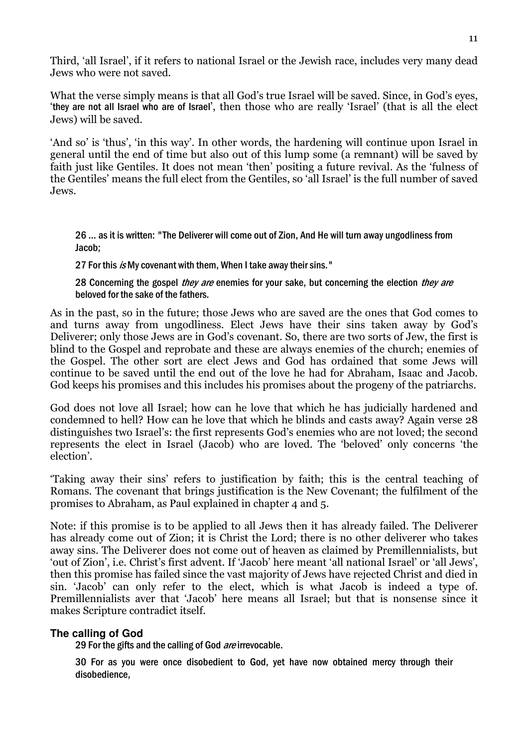Third, 'all Israel', if it refers to national Israel or the Jewish race, includes very many dead Jews who were not saved.

What the verse simply means is that all God's true Israel will be saved. Since, in God's eyes, 'they are not all Israel who are of Israel', then those who are really 'Israel' (that is all the elect Jews) will be saved.

'And so' is 'thus', 'in this way'. In other words, the hardening will continue upon Israel in general until the end of time but also out of this lump some (a remnant) will be saved by faith just like Gentiles. It does not mean 'then' positing a future revival. As the 'fulness of the Gentiles' means the full elect from the Gentiles, so 'all Israel' is the full number of saved Jews.

26 … as it is written: "The Deliverer will come out of Zion, And He will turn away ungodliness from Jacob;

27 For this is My covenant with them, When I take away their sins."

28 Concerning the gospel *they are* enemies for your sake, but concerning the election *they are* beloved for the sake of the fathers.

As in the past, so in the future; those Jews who are saved are the ones that God comes to and turns away from ungodliness. Elect Jews have their sins taken away by God's Deliverer; only those Jews are in God's covenant. So, there are two sorts of Jew, the first is blind to the Gospel and reprobate and these are always enemies of the church; enemies of the Gospel. The other sort are elect Jews and God has ordained that some Jews will continue to be saved until the end out of the love he had for Abraham, Isaac and Jacob. God keeps his promises and this includes his promises about the progeny of the patriarchs.

God does not love all Israel; how can he love that which he has judicially hardened and condemned to hell? How can he love that which he blinds and casts away? Again verse 28 distinguishes two Israel's: the first represents God's enemies who are not loved; the second represents the elect in Israel (Jacob) who are loved. The 'beloved' only concerns 'the election'.

'Taking away their sins' refers to justification by faith; this is the central teaching of Romans. The covenant that brings justification is the New Covenant; the fulfilment of the promises to Abraham, as Paul explained in chapter 4 and 5.

Note: if this promise is to be applied to all Jews then it has already failed. The Deliverer has already come out of Zion; it is Christ the Lord; there is no other deliverer who takes away sins. The Deliverer does not come out of heaven as claimed by Premillennialists, but 'out of Zion', i.e. Christ's first advent. If 'Jacob' here meant 'all national Israel' or 'all Jews', then this promise has failed since the vast majority of Jews have rejected Christ and died in sin. 'Jacob' can only refer to the elect, which is what Jacob is indeed a type of. Premillennialists aver that 'Jacob' here means all Israel; but that is nonsense since it makes Scripture contradict itself.

# **The calling of God**

29 For the gifts and the calling of God are irrevocable.

30 For as you were once disobedient to God, yet have now obtained mercy through their disobedience,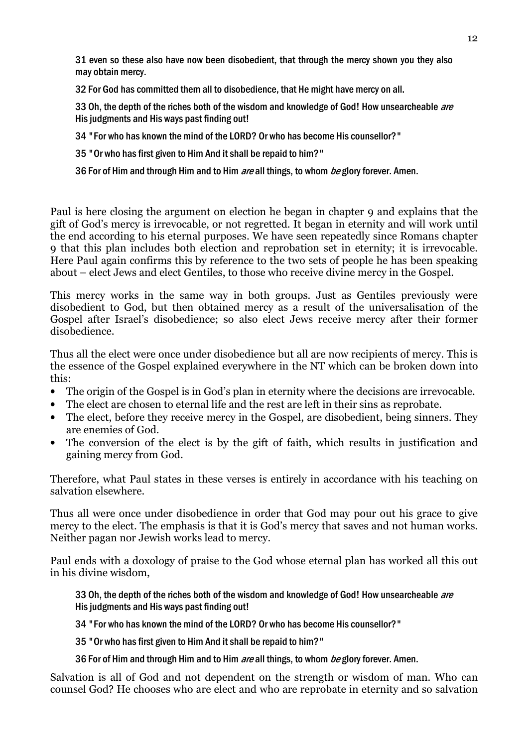31 even so these also have now been disobedient, that through the mercy shown you they also may obtain mercy.

32 For God has committed them all to disobedience, that He might have mercy on all.

33 Oh, the depth of the riches both of the wisdom and knowledge of God! How unsearcheable are His judgments and His ways past finding out!

34 "For who has known the mind of the LORD? Or who has become His counsellor?"

35 "Or who has first given to Him And it shall be repaid to him?"

36 For of Him and through Him and to Him *are* all things, to whom *be* glory forever. Amen.

Paul is here closing the argument on election he began in chapter 9 and explains that the gift of God's mercy is irrevocable, or not regretted. It began in eternity and will work until the end according to his eternal purposes. We have seen repeatedly since Romans chapter 9 that this plan includes both election and reprobation set in eternity; it is irrevocable. Here Paul again confirms this by reference to the two sets of people he has been speaking about – elect Jews and elect Gentiles, to those who receive divine mercy in the Gospel.

This mercy works in the same way in both groups. Just as Gentiles previously were disobedient to God, but then obtained mercy as a result of the universalisation of the Gospel after Israel's disobedience; so also elect Jews receive mercy after their former disobedience.

Thus all the elect were once under disobedience but all are now recipients of mercy. This is the essence of the Gospel explained everywhere in the NT which can be broken down into this:

- The origin of the Gospel is in God's plan in eternity where the decisions are irrevocable.
- The elect are chosen to eternal life and the rest are left in their sins as reprobate.
- The elect, before they receive mercy in the Gospel, are disobedient, being sinners. They are enemies of God.
- The conversion of the elect is by the gift of faith, which results in justification and gaining mercy from God.

Therefore, what Paul states in these verses is entirely in accordance with his teaching on salvation elsewhere.

Thus all were once under disobedience in order that God may pour out his grace to give mercy to the elect. The emphasis is that it is God's mercy that saves and not human works. Neither pagan nor Jewish works lead to mercy.

Paul ends with a doxology of praise to the God whose eternal plan has worked all this out in his divine wisdom,

33 Oh, the depth of the riches both of the wisdom and knowledge of God! How unsearcheable are His judgments and His ways past finding out!

34 "For who has known the mind of the LORD? Or who has become His counsellor?"

35 "Or who has first given to Him And it shall be repaid to him?"

36 For of Him and through Him and to Him are all things, to whom be glory forever. Amen.

Salvation is all of God and not dependent on the strength or wisdom of man. Who can counsel God? He chooses who are elect and who are reprobate in eternity and so salvation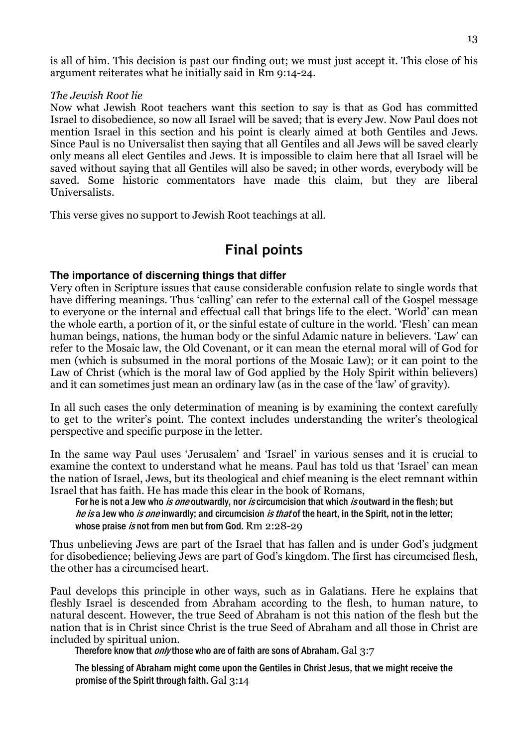is all of him. This decision is past our finding out; we must just accept it. This close of his argument reiterates what he initially said in Rm 9:14-24.

#### The Jewish Root lie

Now what Jewish Root teachers want this section to say is that as God has committed Israel to disobedience, so now all Israel will be saved; that is every Jew. Now Paul does not mention Israel in this section and his point is clearly aimed at both Gentiles and Jews. Since Paul is no Universalist then saying that all Gentiles and all Jews will be saved clearly only means all elect Gentiles and Jews. It is impossible to claim here that all Israel will be saved without saying that all Gentiles will also be saved; in other words, everybody will be saved. Some historic commentators have made this claim, but they are liberal Universalists.

This verse gives no support to Jewish Root teachings at all.

# Final points

# **The importance of discerning things that differ**

Very often in Scripture issues that cause considerable confusion relate to single words that have differing meanings. Thus 'calling' can refer to the external call of the Gospel message to everyone or the internal and effectual call that brings life to the elect. 'World' can mean the whole earth, a portion of it, or the sinful estate of culture in the world. 'Flesh' can mean human beings, nations, the human body or the sinful Adamic nature in believers. 'Law' can refer to the Mosaic law, the Old Covenant, or it can mean the eternal moral will of God for men (which is subsumed in the moral portions of the Mosaic Law); or it can point to the Law of Christ (which is the moral law of God applied by the Holy Spirit within believers) and it can sometimes just mean an ordinary law (as in the case of the 'law' of gravity).

In all such cases the only determination of meaning is by examining the context carefully to get to the writer's point. The context includes understanding the writer's theological perspective and specific purpose in the letter.

In the same way Paul uses 'Jerusalem' and 'Israel' in various senses and it is crucial to examine the context to understand what he means. Paul has told us that 'Israel' can mean the nation of Israel, Jews, but its theological and chief meaning is the elect remnant within Israel that has faith. He has made this clear in the book of Romans,

For he is not a Jew who *is one* outwardly, nor *is* circumcision that which *is* outward in the flesh; but he is a Jew who is one inwardly; and circumcision is that of the heart, in the Spirit, not in the letter; whose praise *is* not from men but from God. Rm 2:28-29

Thus unbelieving Jews are part of the Israel that has fallen and is under God's judgment for disobedience; believing Jews are part of God's kingdom. The first has circumcised flesh, the other has a circumcised heart.

Paul develops this principle in other ways, such as in Galatians. Here he explains that fleshly Israel is descended from Abraham according to the flesh, to human nature, to natural descent. However, the true Seed of Abraham is not this nation of the flesh but the nation that is in Christ since Christ is the true Seed of Abraham and all those in Christ are included by spiritual union.

Therefore know that *only* those who are of faith are sons of Abraham. Gal 3:7

The blessing of Abraham might come upon the Gentiles in Christ Jesus, that we might receive the promise of the Spirit through faith. Gal 3:14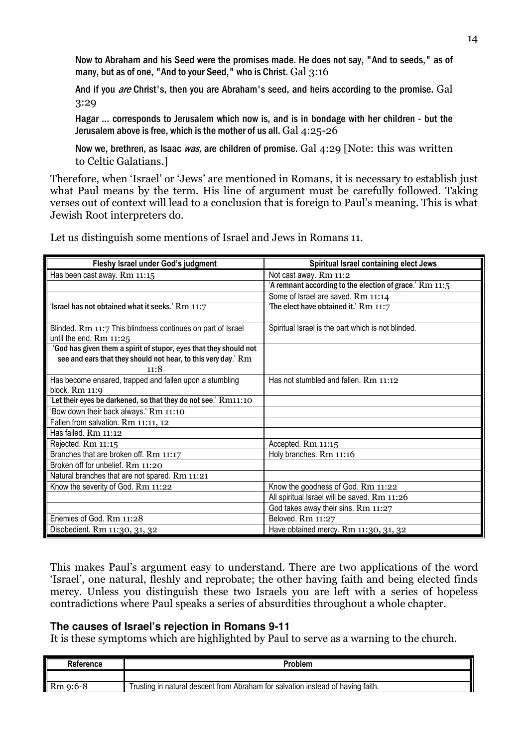Now to Abraham and his Seed were the promises made. He does not say, "And to seeds," as of many, but as of one, "And to your Seed," who is Christ. Gal 3:16

And if you *are* Christ's, then you are Abraham's seed, and heirs according to the promise. Gal 3:29

Hagar … corresponds to Jerusalem which now is, and is in bondage with her children - but the Jerusalem above is free, which is the mother of us all. Gal 4:25-26

Now we, brethren, as Isaac *was*, are children of promise. Gal  $4:29$  [Note: this was written to Celtic Galatians.]

Therefore, when 'Israel' or 'Jews' are mentioned in Romans, it is necessary to establish just what Paul means by the term. His line of argument must be carefully followed. Taking verses out of context will lead to a conclusion that is foreign to Paul's meaning. This is what Jewish Root interpreters do.

| Fleshy Israel under God's judgment                                                                                                         | Spiritual Israel containing elect Jews                  |
|--------------------------------------------------------------------------------------------------------------------------------------------|---------------------------------------------------------|
| Has been cast away. Rm 11:15                                                                                                               | Not cast away. Rm 11:2                                  |
|                                                                                                                                            | 'A remnant according to the election of grace.' Rm 11:5 |
|                                                                                                                                            | Some of Israel are saved. Rm 11:14                      |
| 'Israel has not obtained what it seeks.' Rm 11:7                                                                                           | The elect have obtained it.' Rm 11:7                    |
| Blinded. Rm 11:7 This blindness continues on part of Israel<br>until the end. $Rm$ 11:25                                                   | Spiritual Israel is the part which is not blinded.      |
| 'God has given them a spirit of stupor, eyes that they should not<br>see and ears that they should not hear, to this very day.' Rm<br>11:8 |                                                         |
| Has become ensared, trapped and fallen upon a stumbling                                                                                    | Has not stumbled and fallen. Rm 11:12                   |
| block. $Rm$ 11:9                                                                                                                           |                                                         |
| 'Let their eyes be darkened, so that they do not see.' Rm11:10                                                                             |                                                         |
| 'Bow down their back always.' Rm 11:10                                                                                                     |                                                         |
| Fallen from salvation. Rm 11:11, 12                                                                                                        |                                                         |
| Has failed. Rm 11:12                                                                                                                       |                                                         |
| Rejected. Rm 11:15                                                                                                                         | Accepted. Rm 11:15                                      |
| Branches that are broken off. Rm 11:17                                                                                                     | Holy branches. Rm 11:16                                 |
| Broken off for unbelief. Rm 11:20                                                                                                          |                                                         |
| Natural branches that are not spared. Rm 11:21                                                                                             |                                                         |
| Know the severity of God. Rm 11:22                                                                                                         | Know the goodness of God. Rm 11:22                      |
|                                                                                                                                            | All spiritual Israel will be saved. Rm 11:26            |
|                                                                                                                                            | God takes away their sins. Rm 11:27                     |
| Enemies of God. Rm 11:28                                                                                                                   | Beloved. Rm 11:27                                       |
| Disobedient. Rm 11:30, 31, 32                                                                                                              | Have obtained mercy. Rm 11:30, 31, 32                   |

Let us distinguish some mentions of Israel and Jews in Romans 11.

This makes Paul's argument easy to understand. There are two applications of the word 'Israel', one natural, fleshly and reprobate; the other having faith and being elected finds mercy. Unless you distinguish these two Israels you are left with a series of hopeless contradictions where Paul speaks a series of absurdities throughout a whole chapter.

#### **The causes of Israel's rejection in Romans 9-11**

It is these symptoms which are highlighted by Paul to serve as a warning to the church.

| Reference | Problem                                                                         |
|-----------|---------------------------------------------------------------------------------|
|           |                                                                                 |
| Rm 9:6-8  | Trusting in natural descent from Abraham for salvation instead of having faith. |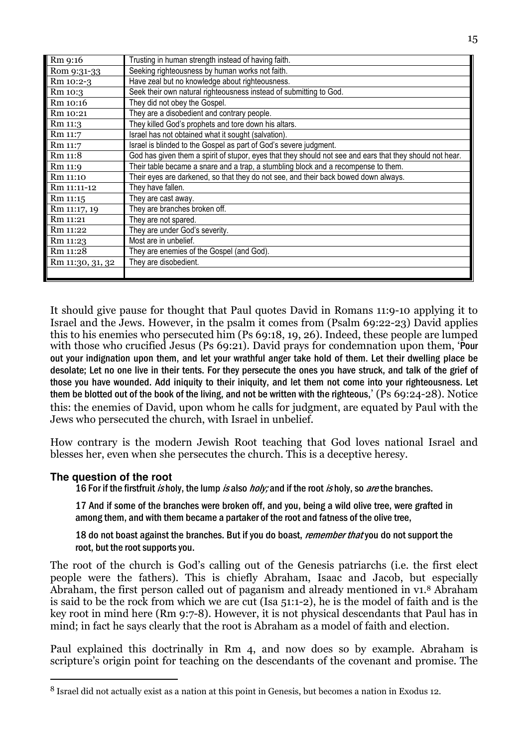| Rm 9:16          | Trusting in human strength instead of having faith.                                                      |
|------------------|----------------------------------------------------------------------------------------------------------|
| Rom 9:31-33      | Seeking righteousness by human works not faith.                                                          |
| Rm 10:2-3        | Have zeal but no knowledge about righteousness.                                                          |
| Rm 10:3          | Seek their own natural righteousness instead of submitting to God.                                       |
| Rm 10:16         | They did not obey the Gospel.                                                                            |
| Rm 10:21         | They are a disobedient and contrary people.                                                              |
| Rm 11:3          | They killed God's prophets and tore down his altars.                                                     |
| Rm 11:7          | Israel has not obtained what it sought (salvation).                                                      |
| Rm 11:7          | Israel is blinded to the Gospel as part of God's severe judgment.                                        |
| Rm 11:8          | God has given them a spirit of stupor, eyes that they should not see and ears that they should not hear. |
| Rm 11:9          | Their table became a snare and a trap, a stumbling block and a recompense to them.                       |
| Rm 11:10         | Their eyes are darkened, so that they do not see, and their back bowed down always.                      |
| Rm 11:11-12      | They have fallen.                                                                                        |
| Rm 11:15         | They are cast away.                                                                                      |
| Rm 11:17, 19     | They are branches broken off.                                                                            |
| Rm 11:21         | They are not spared.                                                                                     |
| Rm 11:22         | They are under God's severity.                                                                           |
| Rm 11:23         | Most are in unbelief.                                                                                    |
| Rm 11:28         | They are enemies of the Gospel (and God).                                                                |
| Rm 11:30, 31, 32 | They are disobedient.                                                                                    |
|                  |                                                                                                          |

It should give pause for thought that Paul quotes David in Romans 11:9-10 applying it to Israel and the Jews. However, in the psalm it comes from (Psalm 69:22-23) David applies this to his enemies who persecuted him (Ps 69:18, 19, 26). Indeed, these people are lumped with those who crucified Jesus (Ps 69:21). David prays for condemnation upon them, 'Pour out your indignation upon them, and let your wrathful anger take hold of them. Let their dwelling place be desolate; Let no one live in their tents. For they persecute the ones you have struck, and talk of the grief of those you have wounded. Add iniquity to their iniquity, and let them not come into your righteousness. Let them be blotted out of the book of the living, and not be written with the righteous,' (Ps 69:24-28). Notice this: the enemies of David, upon whom he calls for judgment, are equated by Paul with the Jews who persecuted the church, with Israel in unbelief.

How contrary is the modern Jewish Root teaching that God loves national Israel and blesses her, even when she persecutes the church. This is a deceptive heresy.

# **The question of the root**

 $\overline{a}$ 

16 For if the firstfruit is holy, the lump is also holy; and if the root is holy, so are the branches.

17 And if some of the branches were broken off, and you, being a wild olive tree, were grafted in among them, and with them became a partaker of the root and fatness of the olive tree,

18 do not boast against the branches. But if you do boast, *remember that* you do not support the root, but the root supports you.

The root of the church is God's calling out of the Genesis patriarchs (i.e. the first elect people were the fathers). This is chiefly Abraham, Isaac and Jacob, but especially Abraham, the first person called out of paganism and already mentioned in v1.8 Abraham is said to be the rock from which we are cut (Isa 51:1-2), he is the model of faith and is the key root in mind here (Rm 9:7-8). However, it is not physical descendants that Paul has in mind; in fact he says clearly that the root is Abraham as a model of faith and election.

Paul explained this doctrinally in Rm 4, and now does so by example. Abraham is scripture's origin point for teaching on the descendants of the covenant and promise. The

<sup>8</sup> Israel did not actually exist as a nation at this point in Genesis, but becomes a nation in Exodus 12.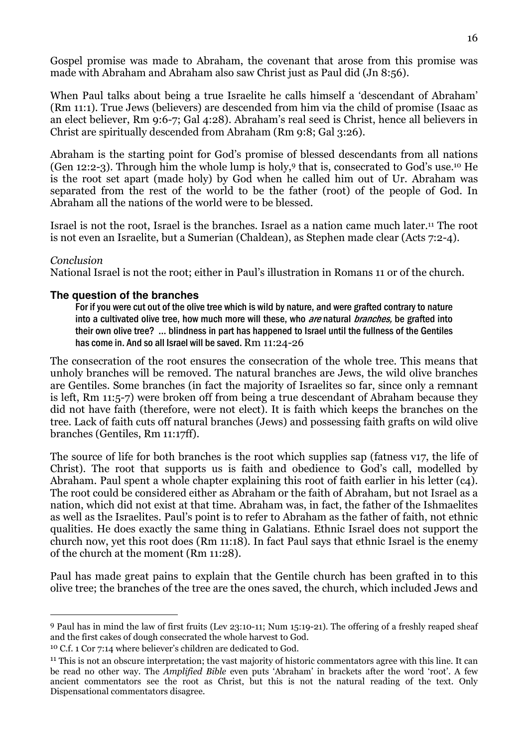Gospel promise was made to Abraham, the covenant that arose from this promise was made with Abraham and Abraham also saw Christ just as Paul did (Jn 8:56).

When Paul talks about being a true Israelite he calls himself a 'descendant of Abraham' (Rm 11:1). True Jews (believers) are descended from him via the child of promise (Isaac as an elect believer, Rm 9:6-7; Gal 4:28). Abraham's real seed is Christ, hence all believers in Christ are spiritually descended from Abraham (Rm 9:8; Gal 3:26).

Abraham is the starting point for God's promise of blessed descendants from all nations (Gen 12:2-3). Through him the whole lump is holy,9 that is, consecrated to God's use.10 He is the root set apart (made holy) by God when he called him out of Ur. Abraham was separated from the rest of the world to be the father (root) of the people of God. In Abraham all the nations of the world were to be blessed.

Israel is not the root, Israel is the branches. Israel as a nation came much later.11 The root is not even an Israelite, but a Sumerian (Chaldean), as Stephen made clear (Acts 7:2-4).

# Conclusion

 $\overline{a}$ 

National Israel is not the root; either in Paul's illustration in Romans 11 or of the church.

#### **The question of the branches**

For if you were cut out of the olive tree which is wild by nature, and were grafted contrary to nature into a cultivated olive tree, how much more will these, who are natural branches, be grafted into their own olive tree? … blindness in part has happened to Israel until the fullness of the Gentiles has come in. And so all Israel will be saved. Rm 11:24-26

The consecration of the root ensures the consecration of the whole tree. This means that unholy branches will be removed. The natural branches are Jews, the wild olive branches are Gentiles. Some branches (in fact the majority of Israelites so far, since only a remnant is left, Rm 11:5-7) were broken off from being a true descendant of Abraham because they did not have faith (therefore, were not elect). It is faith which keeps the branches on the tree. Lack of faith cuts off natural branches (Jews) and possessing faith grafts on wild olive branches (Gentiles, Rm 11:17ff).

The source of life for both branches is the root which supplies sap (fatness v17, the life of Christ). The root that supports us is faith and obedience to God's call, modelled by Abraham. Paul spent a whole chapter explaining this root of faith earlier in his letter (c4). The root could be considered either as Abraham or the faith of Abraham, but not Israel as a nation, which did not exist at that time. Abraham was, in fact, the father of the Ishmaelites as well as the Israelites. Paul's point is to refer to Abraham as the father of faith, not ethnic qualities. He does exactly the same thing in Galatians. Ethnic Israel does not support the church now, yet this root does (Rm 11:18). In fact Paul says that ethnic Israel is the enemy of the church at the moment (Rm 11:28).

Paul has made great pains to explain that the Gentile church has been grafted in to this olive tree; the branches of the tree are the ones saved, the church, which included Jews and

<sup>9</sup> Paul has in mind the law of first fruits (Lev 23:10-11; Num 15:19-21). The offering of a freshly reaped sheaf and the first cakes of dough consecrated the whole harvest to God.

<sup>10</sup> C.f. 1 Cor 7:14 where believer's children are dedicated to God.

<sup>&</sup>lt;sup>11</sup> This is not an obscure interpretation; the vast majority of historic commentators agree with this line. It can be read no other way. The Amplified Bible even puts 'Abraham' in brackets after the word 'root'. A few ancient commentators see the root as Christ, but this is not the natural reading of the text. Only Dispensational commentators disagree.